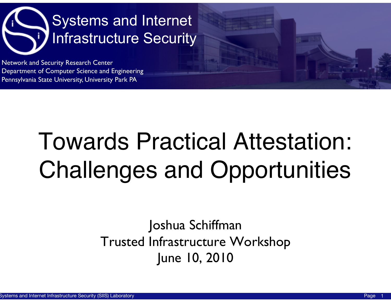

Network and Security Research Center Department of Computer Science and Engineering Pennsylvania State University, University Park PA

#### Towards Practical Attestation: Challenges and Opportunities

#### Joshua Schiffman Trusted Infrastructure Workshop June 10, 2010

1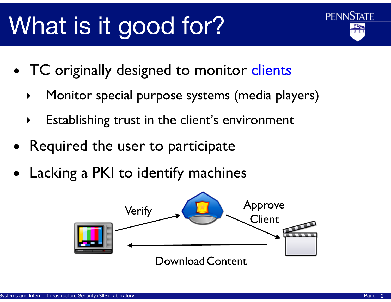## What is it good for?



- TC originally designed to monitor clients
	- ‣ Monitor special purpose systems (media players)
	- ‣ Establishing trust in the client's environment
- Required the user to participate
- Lacking a PKI to identify machines

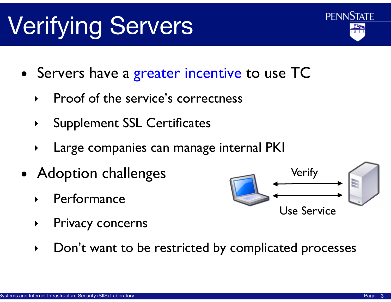#### Verifying Servers

- Servers have a greater incentive to use TC
	- ‣ Proof of the service's correctness
	- ‣ Supplement SSL Certificates
	- Large companies can manage internal PKI
- Adoption challenges
	- **Performance**
	- ‣ Privacy concerns
	- ‣ Don't want to be restricted by complicated processes



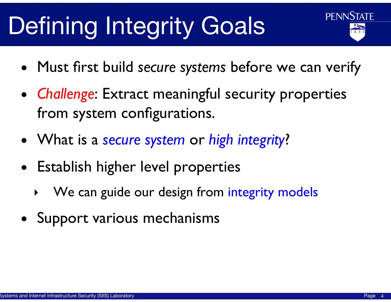# Defining Integrity Goals



- Must first build *secure systems* before we can verify
- *Challenge*: Extract meaningful security properties from system configurations.
- What is a *secure system* or *high integrity*?
- Establish higher level properties
	- We can guide our design from integrity models
- Support various mechanisms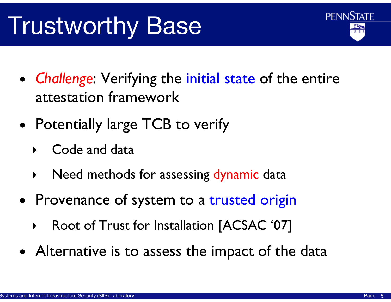## Trustworthy Base



- *Challenge*: Verifying the initial state of the entire attestation framework
- Potentially large TCB to verify
	- ‣ Code and data
	- ‣ Need methods for assessing dynamic data
- Provenance of system to a trusted origin
	- ‣ Root of Trust for Installation [ACSAC '07]
- Alternative is to assess the impact of the data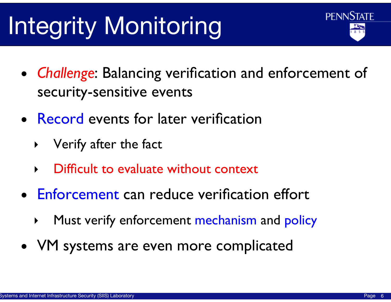# Integrity Monitoring

- *Challenge*: Balancing verification and enforcement of security-sensitive events
- Record events for later verification
	- ‣ Verify after the fact
	- Difficult to evaluate without context
- Enforcement can reduce verification effort
	- Must verify enforcement mechanism and policy
- VM systems are even more complicated

**PENNSTATE**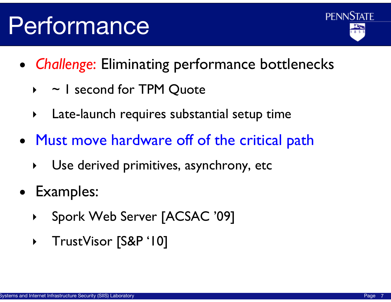

- *Challenge*: Eliminating performance bottlenecks
	- $\rightarrow$   $\sim$  1 second for TPM Quote
	- ‣ Late-launch requires substantial setup time
- Must move hardware off of the critical path
	- ‣ Use derived primitives, asynchrony, etc
- Examples:
	- ‣ Spork Web Server [ACSAC '09]
	- ‣ TrustVisor [S&P '10]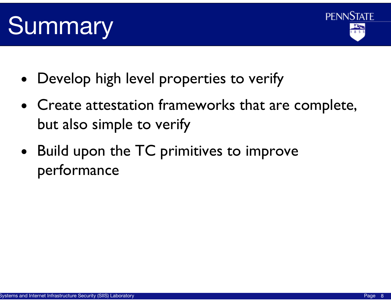#### Summary

- Develop high level properties to verify
- Create attestation frameworks that are complete, but also simple to verify
- Build upon the TC primitives to improve performance